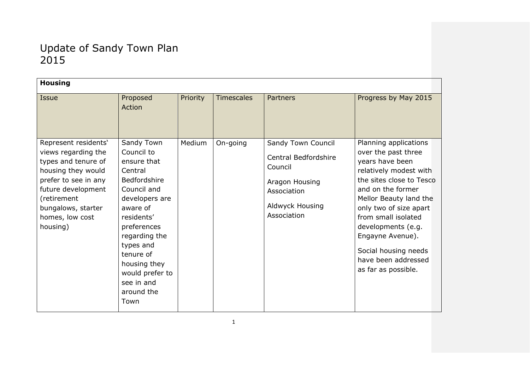| <b>Housing</b>                                                                                                                                                                                             |                                                                                                                                                                                                                                                                       |          |                   |                                                                                                                                 |                                                                                                                                                                                                                                                                                                                                       |  |  |  |
|------------------------------------------------------------------------------------------------------------------------------------------------------------------------------------------------------------|-----------------------------------------------------------------------------------------------------------------------------------------------------------------------------------------------------------------------------------------------------------------------|----------|-------------------|---------------------------------------------------------------------------------------------------------------------------------|---------------------------------------------------------------------------------------------------------------------------------------------------------------------------------------------------------------------------------------------------------------------------------------------------------------------------------------|--|--|--|
| Issue                                                                                                                                                                                                      | Proposed<br>Action                                                                                                                                                                                                                                                    | Priority | <b>Timescales</b> | <b>Partners</b>                                                                                                                 | Progress by May 2015                                                                                                                                                                                                                                                                                                                  |  |  |  |
| Represent residents'<br>views regarding the<br>types and tenure of<br>housing they would<br>prefer to see in any<br>future development<br>(retirement<br>bungalows, starter<br>homes, low cost<br>housing) | Sandy Town<br>Council to<br>ensure that<br>Central<br><b>Bedfordshire</b><br>Council and<br>developers are<br>aware of<br>residents'<br>preferences<br>regarding the<br>types and<br>tenure of<br>housing they<br>would prefer to<br>see in and<br>around the<br>Town | Medium   | On-going          | Sandy Town Council<br><b>Central Bedfordshire</b><br>Council<br>Aragon Housing<br>Association<br>Aldwyck Housing<br>Association | Planning applications<br>over the past three<br>years have been<br>relatively modest with<br>the sites close to Tesco<br>and on the former<br>Mellor Beauty land the<br>only two of size apart<br>from small isolated<br>developments (e.g.<br>Engayne Avenue).<br>Social housing needs<br>have been addressed<br>as far as possible. |  |  |  |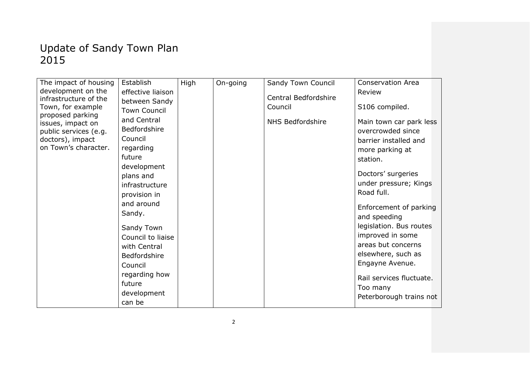| The impact of housing                 | Establish           | High | On-going | Sandy Town Council      | <b>Conservation Area</b> |
|---------------------------------------|---------------------|------|----------|-------------------------|--------------------------|
| development on the                    | effective liaison   |      |          |                         | Review                   |
| infrastructure of the                 | between Sandy       |      |          | Central Bedfordshire    |                          |
| Town, for example                     | <b>Town Council</b> |      |          | Council                 | S106 compiled.           |
| proposed parking<br>issues, impact on | and Central         |      |          | <b>NHS Bedfordshire</b> | Main town car park less  |
| public services (e.g.                 | Bedfordshire        |      |          |                         | overcrowded since        |
| doctors), impact                      | Council             |      |          |                         | barrier installed and    |
| on Town's character.                  | regarding           |      |          |                         | more parking at          |
|                                       | future              |      |          |                         | station.                 |
|                                       | development         |      |          |                         |                          |
|                                       | plans and           |      |          |                         | Doctors' surgeries       |
|                                       | infrastructure      |      |          |                         | under pressure; Kings    |
|                                       | provision in        |      |          |                         | Road full.               |
|                                       | and around          |      |          |                         | Enforcement of parking   |
|                                       | Sandy.              |      |          |                         | and speeding             |
|                                       |                     |      |          |                         | legislation. Bus routes  |
|                                       | Sandy Town          |      |          |                         | improved in some         |
|                                       | Council to liaise   |      |          |                         | areas but concerns       |
|                                       | with Central        |      |          |                         | elsewhere, such as       |
|                                       | Bedfordshire        |      |          |                         | Engayne Avenue.          |
|                                       | Council             |      |          |                         |                          |
|                                       | regarding how       |      |          |                         | Rail services fluctuate. |
|                                       | future              |      |          |                         | Too many                 |
|                                       | development         |      |          |                         | Peterborough trains not  |
|                                       | can be              |      |          |                         |                          |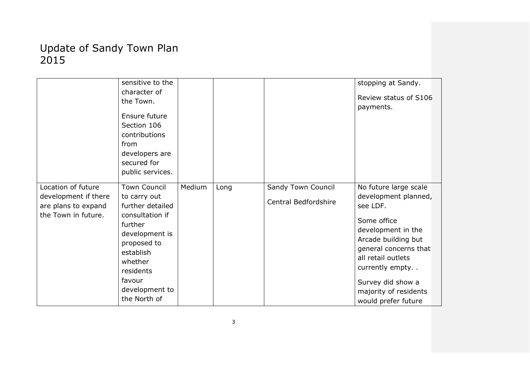|                      | sensitive to the    |        |      |                      | stopping at Sandy.    |
|----------------------|---------------------|--------|------|----------------------|-----------------------|
|                      | character of        |        |      |                      |                       |
|                      | the Town.           |        |      |                      | Review status of S106 |
|                      |                     |        |      |                      | payments.             |
|                      | Ensure future       |        |      |                      |                       |
|                      | Section 106         |        |      |                      |                       |
|                      | contributions       |        |      |                      |                       |
|                      | from                |        |      |                      |                       |
|                      | developers are      |        |      |                      |                       |
|                      | secured for         |        |      |                      |                       |
|                      | public services.    |        |      |                      |                       |
|                      |                     |        |      |                      |                       |
| Location of future   | <b>Town Council</b> | Medium | Long | Sandy Town Council   | No future large scale |
| development if there | to carry out        |        |      | Central Bedfordshire | development planned,  |
| are plans to expand  | further detailed    |        |      |                      | see LDF.              |
| the Town in future.  | consultation if     |        |      |                      |                       |
|                      | further             |        |      |                      | Some office           |
|                      | development is      |        |      |                      | development in the    |
|                      | proposed to         |        |      |                      | Arcade building but   |
|                      | establish           |        |      |                      | general concerns that |
|                      | whether             |        |      |                      | all retail outlets    |
|                      | residents           |        |      |                      | currently empty       |
|                      | favour              |        |      |                      |                       |
|                      | development to      |        |      |                      | Survey did show a     |
|                      |                     |        |      |                      | majority of residents |
|                      | the North of        |        |      |                      | would prefer future   |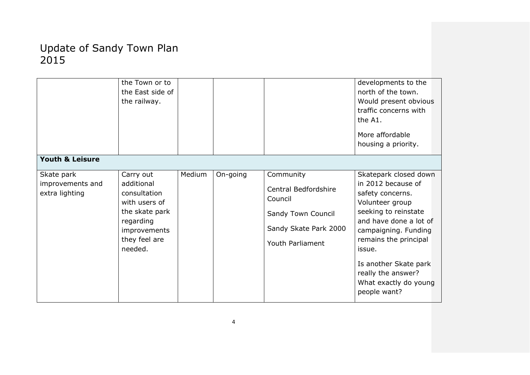|                                    | the Town or to<br>the East side of<br>the railway. |        |          |                                 | developments to the<br>north of the town.<br>Would present obvious<br>traffic concerns with<br>the A1.<br>More affordable<br>housing a priority. |
|------------------------------------|----------------------------------------------------|--------|----------|---------------------------------|--------------------------------------------------------------------------------------------------------------------------------------------------|
| <b>Youth &amp; Leisure</b>         |                                                    |        |          |                                 |                                                                                                                                                  |
| Skate park                         | Carry out                                          | Medium | On-going | Community                       | Skatepark closed down                                                                                                                            |
| improvements and<br>extra lighting | additional<br>consultation<br>with users of        |        |          | Central Bedfordshire<br>Council | in 2012 because of<br>safety concerns.<br>Volunteer group                                                                                        |
|                                    | the skate park                                     |        |          | Sandy Town Council              | seeking to reinstate                                                                                                                             |
|                                    | regarding<br>improvements                          |        |          | Sandy Skate Park 2000           | and have done a lot of<br>campaigning. Funding                                                                                                   |
|                                    | they feel are<br>needed.                           |        |          | Youth Parliament                | remains the principal<br>issue.                                                                                                                  |
|                                    |                                                    |        |          |                                 | Is another Skate park<br>really the answer?<br>What exactly do young<br>people want?                                                             |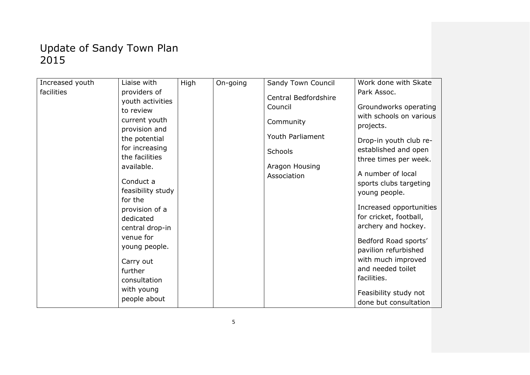| Increased youth | Liaise with                                 | High | On-going | Sandy Town Council            | Work done with Skate                              |
|-----------------|---------------------------------------------|------|----------|-------------------------------|---------------------------------------------------|
| facilities      | providers of                                |      |          | Central Bedfordshire          | Park Assoc.                                       |
|                 | youth activities                            |      |          | Council                       | Groundworks operating                             |
|                 | to review<br>current youth<br>provision and |      |          | Community                     | with schools on various<br>projects.              |
|                 | the potential                               |      |          | Youth Parliament              | Drop-in youth club re-                            |
|                 | for increasing                              |      |          | <b>Schools</b>                | established and open                              |
|                 | the facilities                              |      |          |                               | three times per week.                             |
|                 | available.                                  |      |          | Aragon Housing<br>Association | A number of local                                 |
|                 | Conduct a                                   |      |          |                               | sports clubs targeting                            |
|                 | feasibility study                           |      |          |                               | young people.                                     |
|                 | for the                                     |      |          |                               |                                                   |
|                 | provision of a                              |      |          |                               | Increased opportunities<br>for cricket, football, |
|                 | dedicated                                   |      |          |                               | archery and hockey.                               |
|                 | central drop-in                             |      |          |                               |                                                   |
|                 | venue for<br>young people.                  |      |          |                               | Bedford Road sports'                              |
|                 |                                             |      |          |                               | pavilion refurbished                              |
|                 | Carry out                                   |      |          |                               | with much improved                                |
|                 | further                                     |      |          |                               | and needed toilet                                 |
|                 | consultation                                |      |          |                               | facilities.                                       |
|                 | with young                                  |      |          |                               | Feasibility study not                             |
|                 | people about                                |      |          |                               | done but consultation                             |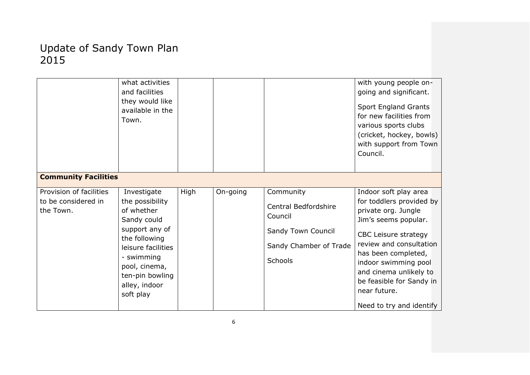|                                                             | what activities<br>and facilities<br>they would like<br>available in the<br>Town.                                                                                                                    |      |          |                                                                                                                | with young people on-<br>going and significant.<br>Sport England Grants<br>for new facilities from<br>various sports clubs<br>(cricket, hockey, bowls)<br>with support from Town<br>Council.                                                                                                         |
|-------------------------------------------------------------|------------------------------------------------------------------------------------------------------------------------------------------------------------------------------------------------------|------|----------|----------------------------------------------------------------------------------------------------------------|------------------------------------------------------------------------------------------------------------------------------------------------------------------------------------------------------------------------------------------------------------------------------------------------------|
| <b>Community Facilities</b>                                 |                                                                                                                                                                                                      |      |          |                                                                                                                |                                                                                                                                                                                                                                                                                                      |
| Provision of facilities<br>to be considered in<br>the Town. | Investigate<br>the possibility<br>of whether<br>Sandy could<br>support any of<br>the following<br>leisure facilities<br>- swimming<br>pool, cinema,<br>ten-pin bowling<br>alley, indoor<br>soft play | High | On-going | Community<br><b>Central Bedfordshire</b><br>Council<br>Sandy Town Council<br>Sandy Chamber of Trade<br>Schools | Indoor soft play area<br>for toddlers provided by<br>private org. Jungle<br>Jim's seems popular.<br>CBC Leisure strategy<br>review and consultation<br>has been completed,<br>indoor swimming pool<br>and cinema unlikely to<br>be feasible for Sandy in<br>near future.<br>Need to try and identify |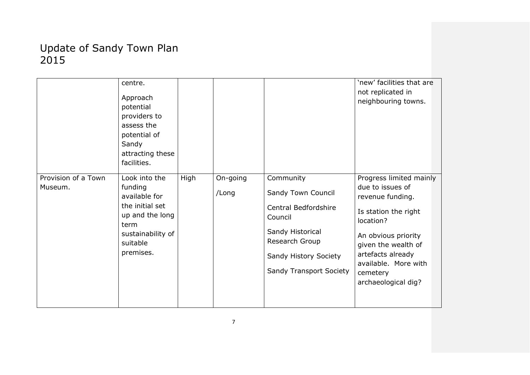|                                | centre.<br>Approach<br>potential<br>providers to<br>assess the<br>potential of<br>Sandy<br>attracting these<br>facilities. |      |          |                                    | 'new' facilities that are<br>not replicated in<br>neighbouring towns. |
|--------------------------------|----------------------------------------------------------------------------------------------------------------------------|------|----------|------------------------------------|-----------------------------------------------------------------------|
| Provision of a Town<br>Museum. | Look into the<br>funding                                                                                                   | High | On-going | Community                          | Progress limited mainly<br>due to issues of                           |
|                                | available for                                                                                                              |      | /Long    | Sandy Town Council                 | revenue funding.                                                      |
|                                | the initial set<br>up and the long<br>term                                                                                 |      |          | Central Bedfordshire<br>Council    | Is station the right<br>location?                                     |
|                                | sustainability of<br>suitable                                                                                              |      |          | Sandy Historical<br>Research Group | An obvious priority<br>given the wealth of                            |
|                                | premises.                                                                                                                  |      |          | Sandy History Society              | artefacts already<br>available. More with                             |
|                                |                                                                                                                            |      |          | Sandy Transport Society            | cemetery                                                              |
|                                |                                                                                                                            |      |          |                                    | archaeological dig?                                                   |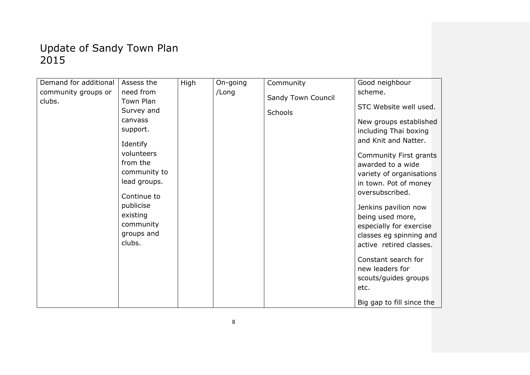| Demand for additional | Assess the                                       | High | On-going | Community          | Good neighbour                                                                                 |
|-----------------------|--------------------------------------------------|------|----------|--------------------|------------------------------------------------------------------------------------------------|
| community groups or   | need from                                        |      | /Long    | Sandy Town Council | scheme.                                                                                        |
| clubs.                | Town Plan<br>Survey and                          |      |          | Schools            | STC Website well used.                                                                         |
|                       | canvass<br>support.                              |      |          |                    | New groups established<br>including Thai boxing                                                |
|                       | Identify                                         |      |          |                    | and Knit and Natter.                                                                           |
|                       | volunteers<br>from the<br>community to           |      |          |                    | Community First grants<br>awarded to a wide<br>variety of organisations                        |
|                       | lead groups.                                     |      |          |                    | in town. Pot of money                                                                          |
|                       | Continue to                                      |      |          |                    | oversubscribed.                                                                                |
|                       | publicise<br>existing<br>community<br>groups and |      |          |                    | Jenkins pavilion now<br>being used more,<br>especially for exercise<br>classes eg spinning and |
|                       | clubs.                                           |      |          |                    | active retired classes.                                                                        |
|                       |                                                  |      |          |                    | Constant search for<br>new leaders for<br>scouts/guides groups<br>etc.                         |
|                       |                                                  |      |          |                    | Big gap to fill since the                                                                      |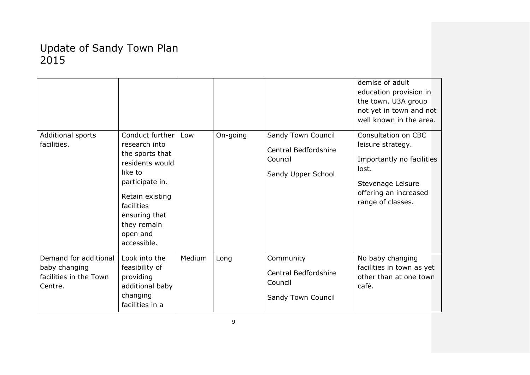| Additional sports<br>facilities.                                            | Conduct further<br>research into<br>the sports that<br>residents would<br>like to<br>participate in.<br>Retain existing<br>facilities<br>ensuring that<br>they remain<br>open and<br>accessible. | Low    | On-going | Sandy Town Council<br>Central Bedfordshire<br>Council<br>Sandy Upper School | demise of adult<br>education provision in<br>the town. U3A group<br>not yet in town and not<br>well known in the area.<br>Consultation on CBC<br>leisure strategy.<br>Importantly no facilities<br>lost.<br>Stevenage Leisure<br>offering an increased<br>range of classes. |
|-----------------------------------------------------------------------------|--------------------------------------------------------------------------------------------------------------------------------------------------------------------------------------------------|--------|----------|-----------------------------------------------------------------------------|-----------------------------------------------------------------------------------------------------------------------------------------------------------------------------------------------------------------------------------------------------------------------------|
| Demand for additional<br>baby changing<br>facilities in the Town<br>Centre. | Look into the<br>feasibility of<br>providing<br>additional baby<br>changing<br>facilities in a                                                                                                   | Medium | Long     | Community<br>Central Bedfordshire<br>Council<br>Sandy Town Council          | No baby changing<br>facilities in town as yet<br>other than at one town<br>café.                                                                                                                                                                                            |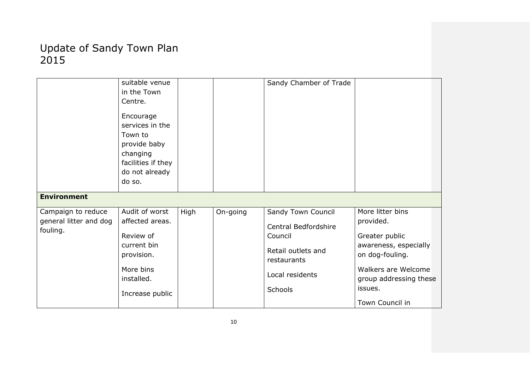|                                                          | suitable venue<br>in the Town<br>Centre.<br>Encourage<br>services in the<br>Town to<br>provide baby<br>changing<br>facilities if they<br>do not already<br>do so. |      |          | Sandy Chamber of Trade                                                                                                   |                                                                                                                                                                            |
|----------------------------------------------------------|-------------------------------------------------------------------------------------------------------------------------------------------------------------------|------|----------|--------------------------------------------------------------------------------------------------------------------------|----------------------------------------------------------------------------------------------------------------------------------------------------------------------------|
| <b>Environment</b>                                       |                                                                                                                                                                   |      |          |                                                                                                                          |                                                                                                                                                                            |
| Campaign to reduce<br>general litter and dog<br>fouling. | Audit of worst<br>affected areas.<br>Review of<br>current bin<br>provision.<br>More bins<br>installed.<br>Increase public                                         | High | On-going | Sandy Town Council<br>Central Bedfordshire<br>Council<br>Retail outlets and<br>restaurants<br>Local residents<br>Schools | More litter bins<br>provided.<br>Greater public<br>awareness, especially<br>on dog-fouling.<br>Walkers are Welcome<br>group addressing these<br>issues.<br>Town Council in |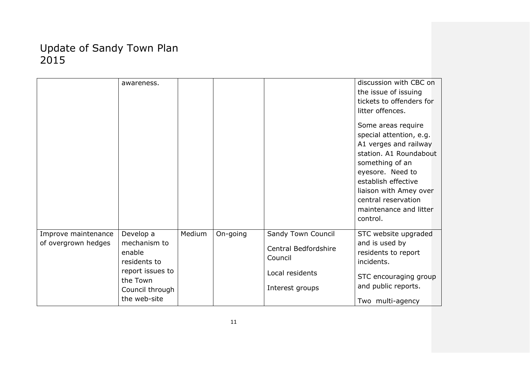|                                            | awareness.                                                                          |        |          |                                                                                             | discussion with CBC on<br>the issue of issuing<br>tickets to offenders for<br>litter offences.<br>Some areas require<br>special attention, e.g.<br>A1 verges and railway<br>station. A1 Roundabout<br>something of an<br>eyesore. Need to<br>establish effective<br>liaison with Amey over<br>central reservation<br>maintenance and litter<br>control. |
|--------------------------------------------|-------------------------------------------------------------------------------------|--------|----------|---------------------------------------------------------------------------------------------|---------------------------------------------------------------------------------------------------------------------------------------------------------------------------------------------------------------------------------------------------------------------------------------------------------------------------------------------------------|
| Improve maintenance<br>of overgrown hedges | Develop a<br>mechanism to<br>enable<br>residents to<br>report issues to<br>the Town | Medium | On-going | Sandy Town Council<br>Central Bedfordshire<br>Council<br>Local residents<br>Interest groups | STC website upgraded<br>and is used by<br>residents to report<br>incidents.<br>STC encouraging group<br>and public reports.                                                                                                                                                                                                                             |
|                                            | Council through<br>the web-site                                                     |        |          |                                                                                             | Two multi-agency                                                                                                                                                                                                                                                                                                                                        |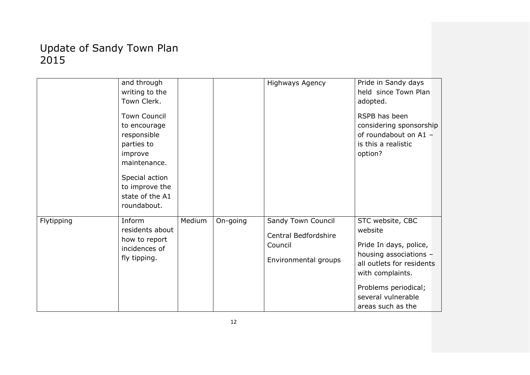|            | and through<br>writing to the<br>Town Clerk.<br><b>Town Council</b><br>to encourage<br>responsible<br>parties to<br>improve<br>maintenance.<br>Special action<br>to improve the<br>state of the A1<br>roundabout. |        |          | <b>Highways Agency</b>                                                        | Pride in Sandy days<br>held since Town Plan<br>adopted.<br>RSPB has been<br>considering sponsorship<br>of roundabout on A1 -<br>is this a realistic<br>option?                                      |
|------------|-------------------------------------------------------------------------------------------------------------------------------------------------------------------------------------------------------------------|--------|----------|-------------------------------------------------------------------------------|-----------------------------------------------------------------------------------------------------------------------------------------------------------------------------------------------------|
| Flytipping | Inform<br>residents about<br>how to report<br>incidences of<br>fly tipping.                                                                                                                                       | Medium | On-going | Sandy Town Council<br>Central Bedfordshire<br>Council<br>Environmental groups | STC website, CBC<br>website<br>Pride In days, police,<br>housing associations -<br>all outlets for residents<br>with complaints.<br>Problems periodical;<br>several vulnerable<br>areas such as the |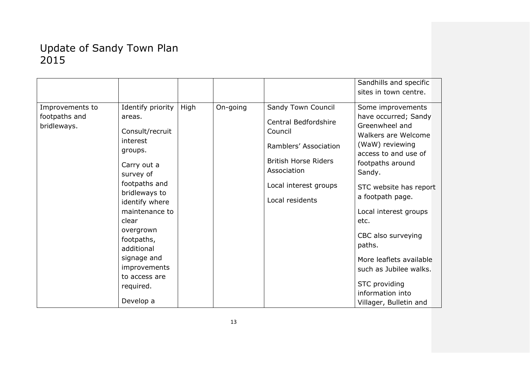|                                                 |                                                                                                                                                                                                                                                                                                     |      |          |                                                                                                                                                                          | Sandhills and specific                                                                                                                                                                                                                                                                                                                                                                         |
|-------------------------------------------------|-----------------------------------------------------------------------------------------------------------------------------------------------------------------------------------------------------------------------------------------------------------------------------------------------------|------|----------|--------------------------------------------------------------------------------------------------------------------------------------------------------------------------|------------------------------------------------------------------------------------------------------------------------------------------------------------------------------------------------------------------------------------------------------------------------------------------------------------------------------------------------------------------------------------------------|
|                                                 |                                                                                                                                                                                                                                                                                                     |      |          |                                                                                                                                                                          | sites in town centre.                                                                                                                                                                                                                                                                                                                                                                          |
| Improvements to<br>footpaths and<br>bridleways. | Identify priority<br>areas.<br>Consult/recruit<br>interest<br>groups.<br>Carry out a<br>survey of<br>footpaths and<br>bridleways to<br>identify where<br>maintenance to<br>clear<br>overgrown<br>footpaths,<br>additional<br>signage and<br>improvements<br>to access are<br>required.<br>Develop a | High | On-going | Sandy Town Council<br>Central Bedfordshire<br>Council<br>Ramblers' Association<br><b>British Horse Riders</b><br>Association<br>Local interest groups<br>Local residents | Some improvements<br>have occurred; Sandy<br>Greenwheel and<br>Walkers are Welcome<br>(WaW) reviewing<br>access to and use of<br>footpaths around<br>Sandy.<br>STC website has report<br>a footpath page.<br>Local interest groups<br>etc.<br>CBC also surveying<br>paths.<br>More leaflets available<br>such as Jubilee walks.<br>STC providing<br>information into<br>Villager, Bulletin and |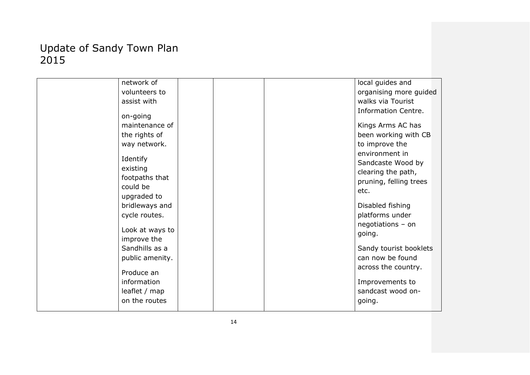| network of      |  | local guides and       |
|-----------------|--|------------------------|
| volunteers to   |  | organising more guided |
| assist with     |  | walks via Tourist      |
|                 |  | Information Centre.    |
| on-going        |  |                        |
| maintenance of  |  | Kings Arms AC has      |
| the rights of   |  | been working with CB   |
| way network.    |  | to improve the         |
|                 |  | environment in         |
| Identify        |  | Sandcaste Wood by      |
| existing        |  | clearing the path,     |
| footpaths that  |  | pruning, felling trees |
| could be        |  | etc.                   |
| upgraded to     |  |                        |
| bridleways and  |  | Disabled fishing       |
| cycle routes.   |  | platforms under        |
| Look at ways to |  | negotiations - on      |
| improve the     |  | going.                 |
|                 |  |                        |
| Sandhills as a  |  | Sandy tourist booklets |
| public amenity. |  | can now be found       |
| Produce an      |  | across the country.    |
| information     |  | Improvements to        |
| leaflet / map   |  | sandcast wood on-      |
| on the routes   |  | going.                 |
|                 |  |                        |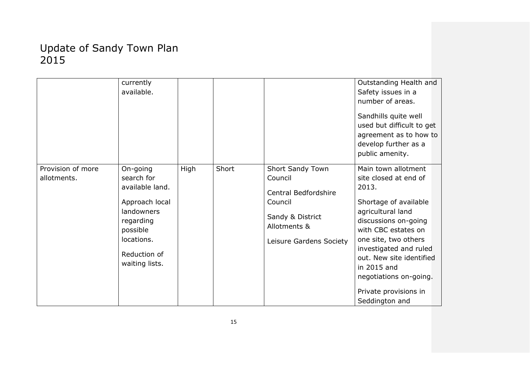|                                  | currently<br>available.                                                                                                                            |      |       |                                                                                                                               | Outstanding Health and<br>Safety issues in a<br>number of areas.<br>Sandhills quite well<br>used but difficult to get<br>agreement as to how to<br>develop further as a<br>public amenity.                                                                                                                           |
|----------------------------------|----------------------------------------------------------------------------------------------------------------------------------------------------|------|-------|-------------------------------------------------------------------------------------------------------------------------------|----------------------------------------------------------------------------------------------------------------------------------------------------------------------------------------------------------------------------------------------------------------------------------------------------------------------|
| Provision of more<br>allotments. | On-going<br>search for<br>available land.<br>Approach local<br>landowners<br>regarding<br>possible<br>locations.<br>Reduction of<br>waiting lists. | High | Short | Short Sandy Town<br>Council<br>Central Bedfordshire<br>Council<br>Sandy & District<br>Allotments &<br>Leisure Gardens Society | Main town allotment<br>site closed at end of<br>2013.<br>Shortage of available<br>agricultural land<br>discussions on-going<br>with CBC estates on<br>one site, two others<br>investigated and ruled<br>out. New site identified<br>in 2015 and<br>negotiations on-going.<br>Private provisions in<br>Seddington and |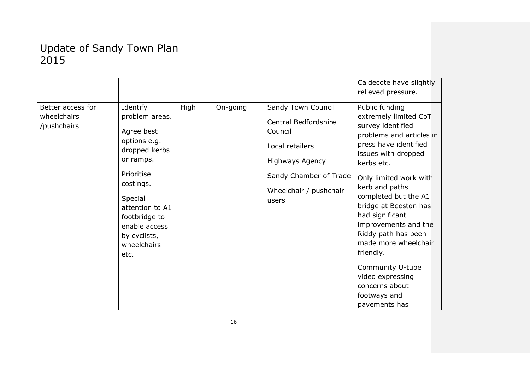|                                                 |                                                                                                                                                                                                                          |      |          |                                                                                                                                                                 | Caldecote have slightly                                                                                                                                                                                                                                                                                                                                                                                                                               |
|-------------------------------------------------|--------------------------------------------------------------------------------------------------------------------------------------------------------------------------------------------------------------------------|------|----------|-----------------------------------------------------------------------------------------------------------------------------------------------------------------|-------------------------------------------------------------------------------------------------------------------------------------------------------------------------------------------------------------------------------------------------------------------------------------------------------------------------------------------------------------------------------------------------------------------------------------------------------|
|                                                 |                                                                                                                                                                                                                          |      |          |                                                                                                                                                                 | relieved pressure.                                                                                                                                                                                                                                                                                                                                                                                                                                    |
| Better access for<br>wheelchairs<br>/pushchairs | Identify<br>problem areas.<br>Agree best<br>options e.g.<br>dropped kerbs<br>or ramps.<br>Prioritise<br>costings.<br>Special<br>attention to A1<br>footbridge to<br>enable access<br>by cyclists,<br>wheelchairs<br>etc. | High | On-going | Sandy Town Council<br>Central Bedfordshire<br>Council<br>Local retailers<br><b>Highways Agency</b><br>Sandy Chamber of Trade<br>Wheelchair / pushchair<br>users | Public funding<br>extremely limited CoT<br>survey identified<br>problems and articles in<br>press have identified<br>issues with dropped<br>kerbs etc.<br>Only limited work with<br>kerb and paths<br>completed but the A1<br>bridge at Beeston has<br>had significant<br>improvements and the<br>Riddy path has been<br>made more wheelchair<br>friendly.<br>Community U-tube<br>video expressing<br>concerns about<br>footways and<br>pavements has |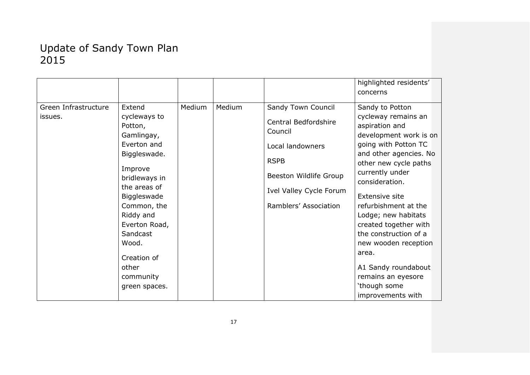|                      |               |        |        |                         | highlighted residents' |
|----------------------|---------------|--------|--------|-------------------------|------------------------|
|                      |               |        |        |                         | concerns               |
|                      |               |        |        |                         |                        |
| Green Infrastructure | Extend        | Medium | Medium | Sandy Town Council      | Sandy to Potton        |
| issues.              | cycleways to  |        |        | Central Bedfordshire    | cycleway remains an    |
|                      | Potton,       |        |        | Council                 | aspiration and         |
|                      | Gamlingay,    |        |        |                         | development work is on |
|                      | Everton and   |        |        | Local landowners        | going with Potton TC   |
|                      | Biggleswade.  |        |        |                         | and other agencies. No |
|                      |               |        |        | <b>RSPB</b>             | other new cycle paths  |
|                      | Improve       |        |        | Beeston Wildlife Group  | currently under        |
|                      | bridleways in |        |        |                         | consideration.         |
|                      | the areas of  |        |        | Ivel Valley Cycle Forum |                        |
|                      | Biggleswade   |        |        |                         | <b>Extensive site</b>  |
|                      | Common, the   |        |        | Ramblers' Association   | refurbishment at the   |
|                      | Riddy and     |        |        |                         | Lodge; new habitats    |
|                      | Everton Road, |        |        |                         | created together with  |
|                      | Sandcast      |        |        |                         | the construction of a  |
|                      | Wood.         |        |        |                         | new wooden reception   |
|                      |               |        |        |                         | area.                  |
|                      | Creation of   |        |        |                         |                        |
|                      | other         |        |        |                         | A1 Sandy roundabout    |
|                      | community     |        |        |                         | remains an eyesore     |
|                      | green spaces. |        |        |                         | 'though some           |
|                      |               |        |        |                         | improvements with      |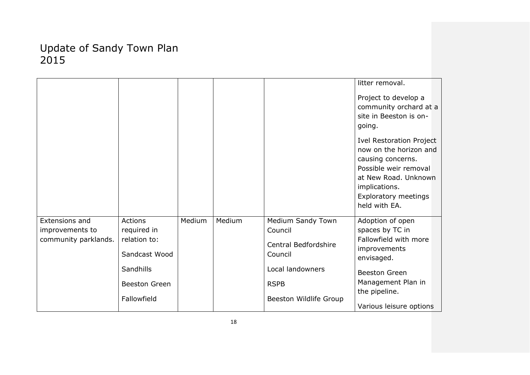|                                                           |                                                                                                             |        |        |                                                                                                                              | litter removal.<br>Project to develop a<br>community orchard at a<br>site in Beeston is on-<br>going.<br><b>Ivel Restoration Project</b><br>now on the horizon and<br>causing concerns.<br>Possible weir removal<br>at New Road. Unknown<br>implications.<br><b>Exploratory meetings</b><br>held with EA. |
|-----------------------------------------------------------|-------------------------------------------------------------------------------------------------------------|--------|--------|------------------------------------------------------------------------------------------------------------------------------|-----------------------------------------------------------------------------------------------------------------------------------------------------------------------------------------------------------------------------------------------------------------------------------------------------------|
| Extensions and<br>improvements to<br>community parklands. | <b>Actions</b><br>required in<br>relation to:<br>Sandcast Wood<br>Sandhills<br>Beeston Green<br>Fallowfield | Medium | Medium | Medium Sandy Town<br>Council<br>Central Bedfordshire<br>Council<br>Local landowners<br><b>RSPB</b><br>Beeston Wildlife Group | Adoption of open<br>spaces by TC in<br>Fallowfield with more<br>improvements<br>envisaged.<br><b>Beeston Green</b><br>Management Plan in<br>the pipeline.<br>Various leisure options                                                                                                                      |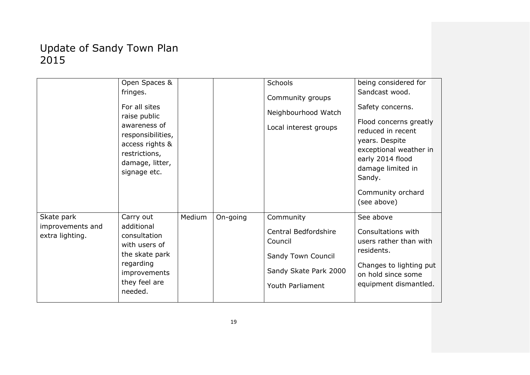|                                     | Open Spaces &                                                 |        |          | <b>Schools</b>                                        | being considered for                                          |
|-------------------------------------|---------------------------------------------------------------|--------|----------|-------------------------------------------------------|---------------------------------------------------------------|
|                                     | fringes.                                                      |        |          | Community groups                                      | Sandcast wood.                                                |
|                                     | For all sites<br>raise public                                 |        |          | Neighbourhood Watch                                   | Safety concerns.                                              |
|                                     | awareness of<br>responsibilities,                             |        |          | Local interest groups                                 | Flood concerns greatly<br>reduced in recent<br>years. Despite |
|                                     | access rights &                                               |        |          |                                                       | exceptional weather in                                        |
|                                     | restrictions,                                                 |        |          |                                                       | early 2014 flood                                              |
|                                     | damage, litter,                                               |        |          |                                                       | damage limited in                                             |
|                                     | signage etc.                                                  |        |          |                                                       | Sandy.                                                        |
|                                     |                                                               |        |          |                                                       | Community orchard<br>(see above)                              |
| Skate park                          | Carry out                                                     | Medium | On-going | Community                                             | See above                                                     |
| improvements and<br>extra lighting. | additional<br>consultation<br>with users of<br>the skate park |        |          | Central Bedfordshire<br>Council<br>Sandy Town Council | Consultations with<br>users rather than with<br>residents.    |
|                                     | regarding<br>improvements                                     |        |          | Sandy Skate Park 2000                                 | Changes to lighting put<br>on hold since some                 |
|                                     | they feel are<br>needed.                                      |        |          | Youth Parliament                                      | equipment dismantled.                                         |
|                                     |                                                               |        |          |                                                       |                                                               |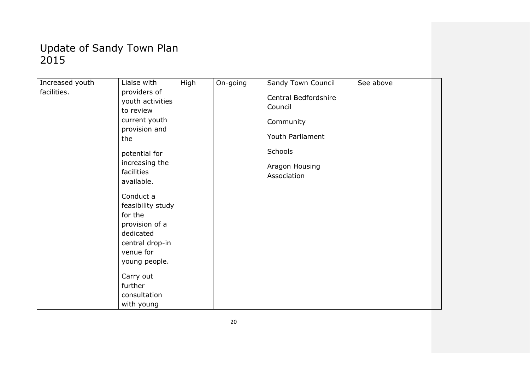| Increased youth | Liaise with                                                                                                                                           | High | On-going | Sandy Town Council                                                                                           | See above |
|-----------------|-------------------------------------------------------------------------------------------------------------------------------------------------------|------|----------|--------------------------------------------------------------------------------------------------------------|-----------|
| facilities.     | providers of<br>youth activities<br>to review<br>current youth<br>provision and<br>the<br>potential for<br>increasing the<br>facilities<br>available. |      |          | Central Bedfordshire<br>Council<br>Community<br>Youth Parliament<br>Schools<br>Aragon Housing<br>Association |           |
|                 | Conduct a<br>feasibility study                                                                                                                        |      |          |                                                                                                              |           |
|                 | for the<br>provision of a                                                                                                                             |      |          |                                                                                                              |           |
|                 | dedicated<br>central drop-in                                                                                                                          |      |          |                                                                                                              |           |
|                 | venue for                                                                                                                                             |      |          |                                                                                                              |           |
|                 | young people.                                                                                                                                         |      |          |                                                                                                              |           |
|                 | Carry out<br>further                                                                                                                                  |      |          |                                                                                                              |           |
|                 | consultation                                                                                                                                          |      |          |                                                                                                              |           |
|                 | with young                                                                                                                                            |      |          |                                                                                                              |           |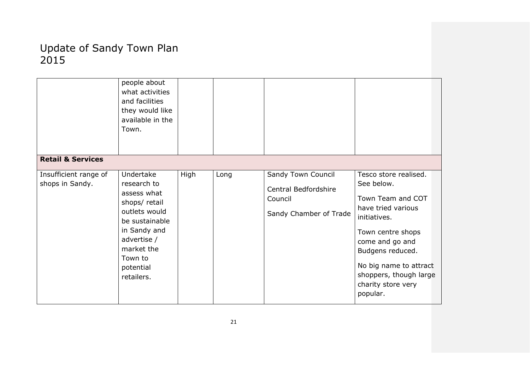|                              | people about     |      |      |                        |                        |
|------------------------------|------------------|------|------|------------------------|------------------------|
|                              | what activities  |      |      |                        |                        |
|                              | and facilities   |      |      |                        |                        |
|                              | they would like  |      |      |                        |                        |
|                              | available in the |      |      |                        |                        |
|                              | Town.            |      |      |                        |                        |
|                              |                  |      |      |                        |                        |
|                              |                  |      |      |                        |                        |
| <b>Retail &amp; Services</b> |                  |      |      |                        |                        |
|                              |                  |      |      |                        |                        |
| Insufficient range of        | Undertake        | High | Long | Sandy Town Council     | Tesco store realised.  |
| shops in Sandy.              | research to      |      |      |                        | See below.             |
|                              | assess what      |      |      | Central Bedfordshire   |                        |
|                              | shops/ retail    |      |      | Council                | Town Team and COT      |
|                              | outlets would    |      |      |                        | have tried various     |
|                              | be sustainable   |      |      | Sandy Chamber of Trade | initiatives.           |
|                              | in Sandy and     |      |      |                        |                        |
|                              |                  |      |      |                        | Town centre shops      |
|                              | advertise /      |      |      |                        | come and go and        |
|                              | market the       |      |      |                        | Budgens reduced.       |
|                              | Town to          |      |      |                        |                        |
|                              | potential        |      |      |                        | No big name to attract |
|                              | retailers.       |      |      |                        | shoppers, though large |
|                              |                  |      |      |                        | charity store very     |
|                              |                  |      |      |                        | popular.               |
|                              |                  |      |      |                        |                        |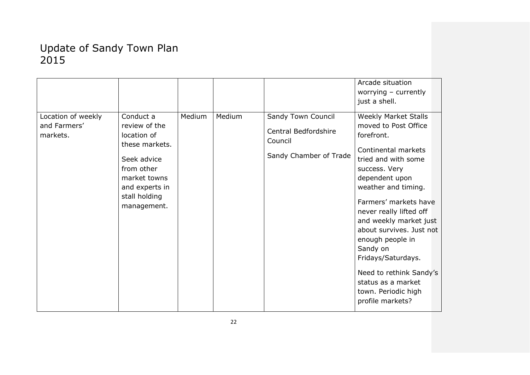|                                                |                                                                                                                                                            |        |        |                                                                                 | Arcade situation<br>worrying $-$ currently<br>just a shell.                                                                                                                                                                                                                                                                                                                                                                           |
|------------------------------------------------|------------------------------------------------------------------------------------------------------------------------------------------------------------|--------|--------|---------------------------------------------------------------------------------|---------------------------------------------------------------------------------------------------------------------------------------------------------------------------------------------------------------------------------------------------------------------------------------------------------------------------------------------------------------------------------------------------------------------------------------|
| Location of weekly<br>and Farmers'<br>markets. | Conduct a<br>review of the<br>location of<br>these markets.<br>Seek advice<br>from other<br>market towns<br>and experts in<br>stall holding<br>management. | Medium | Medium | Sandy Town Council<br>Central Bedfordshire<br>Council<br>Sandy Chamber of Trade | <b>Weekly Market Stalls</b><br>moved to Post Office<br>forefront.<br>Continental markets<br>tried and with some<br>success. Very<br>dependent upon<br>weather and timing.<br>Farmers' markets have<br>never really lifted off<br>and weekly market just<br>about survives. Just not<br>enough people in<br>Sandy on<br>Fridays/Saturdays.<br>Need to rethink Sandy's<br>status as a market<br>town. Periodic high<br>profile markets? |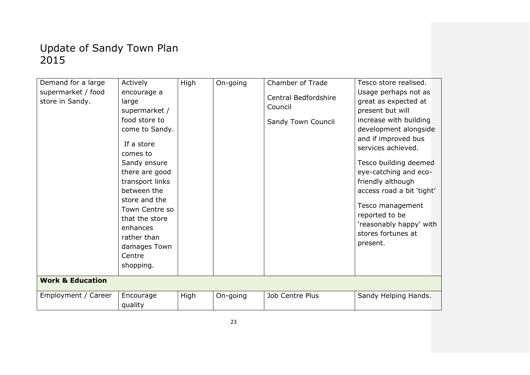| Demand for a large<br>supermarket / food<br>store in Sandy. | Actively<br>encourage a<br>large<br>supermarket /                                                                                                                                                                                                    | High | On-going | Chamber of Trade<br>Central Bedfordshire<br>Council | Tesco store realised.<br>Usage perhaps not as<br>great as expected at<br>present but will                                                                                                                                                                                                           |
|-------------------------------------------------------------|------------------------------------------------------------------------------------------------------------------------------------------------------------------------------------------------------------------------------------------------------|------|----------|-----------------------------------------------------|-----------------------------------------------------------------------------------------------------------------------------------------------------------------------------------------------------------------------------------------------------------------------------------------------------|
|                                                             | food store to<br>come to Sandy.<br>If a store<br>comes to<br>Sandy ensure<br>there are good<br>transport links<br>between the<br>store and the<br>Town Centre so<br>that the store<br>enhances<br>rather than<br>damages Town<br>Centre<br>shopping. |      |          | Sandy Town Council                                  | increase with building<br>development alongside<br>and if improved bus<br>services achieved.<br>Tesco building deemed<br>eye-catching and eco-<br>friendly although<br>access road a bit 'tight'<br>Tesco management<br>reported to be<br>'reasonably happy' with<br>stores fortunes at<br>present. |
| <b>Work &amp; Education</b>                                 |                                                                                                                                                                                                                                                      |      |          |                                                     |                                                                                                                                                                                                                                                                                                     |
| Employment / Career                                         | Encourage<br>quality                                                                                                                                                                                                                                 | High | On-going | Job Centre Plus                                     | Sandy Helping Hands.                                                                                                                                                                                                                                                                                |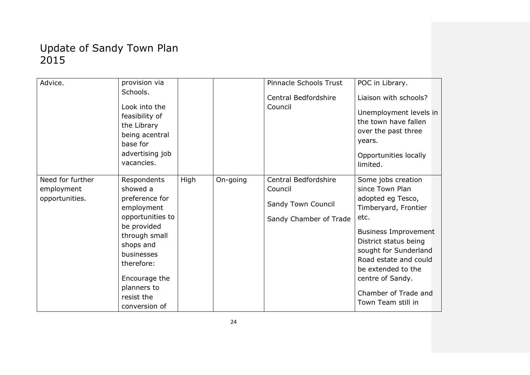| Advice.          | provision via              |      |          | Pinnacle Schools Trust | POC in Library.             |  |
|------------------|----------------------------|------|----------|------------------------|-----------------------------|--|
|                  | Schools.                   |      |          | Central Bedfordshire   | Liaison with schools?       |  |
|                  | Look into the              |      |          | Council                |                             |  |
|                  | feasibility of             |      |          |                        | Unemployment levels in      |  |
|                  | the Library                |      |          |                        | the town have fallen        |  |
|                  | being acentral             |      |          |                        | over the past three         |  |
|                  | base for                   |      |          |                        | years.                      |  |
|                  | advertising job            |      |          |                        | Opportunities locally       |  |
|                  | vacancies.                 |      |          |                        | limited.                    |  |
| Need for further | Respondents                | High | On-going | Central Bedfordshire   | Some jobs creation          |  |
| employment       | showed a                   |      |          | Council                | since Town Plan             |  |
| opportunities.   | preference for             |      |          |                        | adopted eg Tesco,           |  |
|                  | employment                 |      |          | Sandy Town Council     | Timberyard, Frontier        |  |
|                  | opportunities to           |      |          | Sandy Chamber of Trade | etc.                        |  |
|                  | be provided                |      |          |                        | <b>Business Improvement</b> |  |
|                  | through small<br>shops and |      |          |                        | District status being       |  |
|                  | businesses                 |      |          |                        | sought for Sunderland       |  |
|                  | therefore:                 |      |          |                        | Road estate and could       |  |
|                  |                            |      |          |                        | be extended to the          |  |
|                  | Encourage the              |      |          |                        | centre of Sandy.            |  |
|                  | planners to                |      |          |                        |                             |  |
|                  | resist the                 |      |          |                        | Chamber of Trade and        |  |
|                  | conversion of              |      |          |                        | Town Team still in          |  |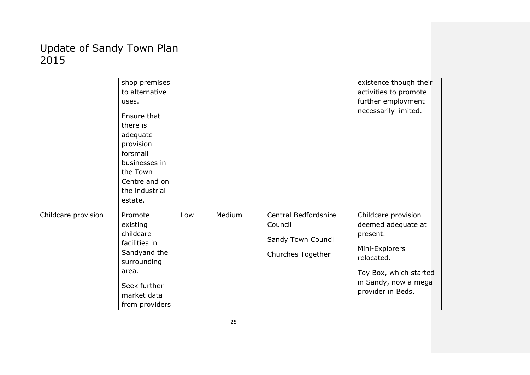|                     | shop premises<br>to alternative<br>uses.<br>Ensure that<br>there is<br>adequate<br>provision<br>forsmall<br>businesses in<br>the Town<br>Centre and on |     |        |                                 | existence though their<br>activities to promote<br>further employment<br>necessarily limited. |
|---------------------|--------------------------------------------------------------------------------------------------------------------------------------------------------|-----|--------|---------------------------------|-----------------------------------------------------------------------------------------------|
|                     | the industrial                                                                                                                                         |     |        |                                 |                                                                                               |
|                     | estate.                                                                                                                                                |     |        |                                 |                                                                                               |
|                     |                                                                                                                                                        |     |        |                                 |                                                                                               |
| Childcare provision | Promote<br>existing                                                                                                                                    | Low | Medium | Central Bedfordshire<br>Council | Childcare provision<br>deemed adequate at                                                     |
|                     | childcare                                                                                                                                              |     |        |                                 | present.                                                                                      |
|                     | facilities in                                                                                                                                          |     |        | Sandy Town Council              |                                                                                               |
|                     | Sandyand the<br>surrounding                                                                                                                            |     |        | Churches Together               | Mini-Explorers<br>relocated.                                                                  |
|                     | area.                                                                                                                                                  |     |        |                                 | Toy Box, which started                                                                        |
|                     | Seek further                                                                                                                                           |     |        |                                 | in Sandy, now a mega<br>provider in Beds.                                                     |
|                     | market data                                                                                                                                            |     |        |                                 |                                                                                               |
|                     | from providers                                                                                                                                         |     |        |                                 |                                                                                               |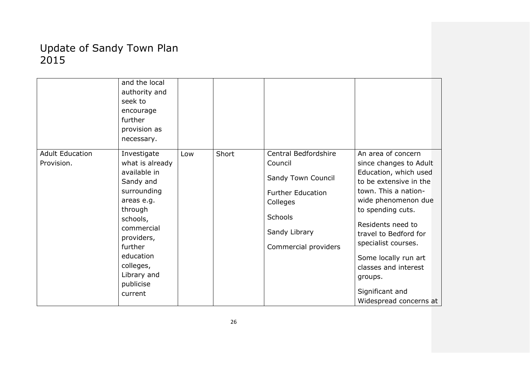|                        | and the local<br>authority and<br>seek to                     |     |       |                                                 |                                                                                                      |
|------------------------|---------------------------------------------------------------|-----|-------|-------------------------------------------------|------------------------------------------------------------------------------------------------------|
|                        | encourage<br>further                                          |     |       |                                                 |                                                                                                      |
|                        | provision as                                                  |     |       |                                                 |                                                                                                      |
|                        | necessary.                                                    |     |       |                                                 |                                                                                                      |
| <b>Adult Education</b> | Investigate                                                   | Low | Short | Central Bedfordshire                            | An area of concern                                                                                   |
| Provision.             | what is already                                               |     |       | Council                                         | since changes to Adult                                                                               |
|                        | available in<br>Sandy and                                     |     |       | Sandy Town Council                              | Education, which used<br>to be extensive in the                                                      |
|                        | surrounding<br>areas e.g.<br>through                          |     |       | <b>Further Education</b><br>Colleges<br>Schools | town. This a nation-<br>wide phenomenon due<br>to spending cuts.                                     |
|                        | schools,<br>commercial<br>providers,<br>further               |     |       | Sandy Library<br>Commercial providers           | Residents need to<br>travel to Bedford for<br>specialist courses.                                    |
|                        | education<br>colleges,<br>Library and<br>publicise<br>current |     |       |                                                 | Some locally run art<br>classes and interest<br>groups.<br>Significant and<br>Widespread concerns at |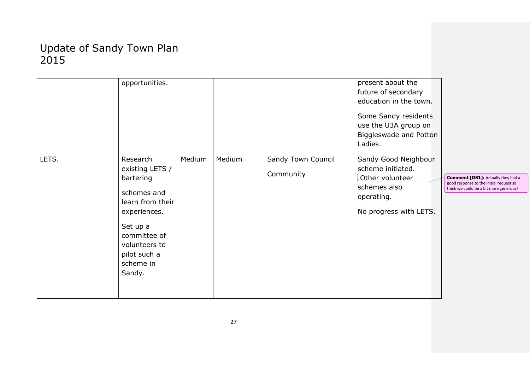|       | opportunities.                                                                                                                                                                  |        |        |                                 | present about the<br>future of secondary<br>education in the town.<br>Some Sandy residents<br>use the U3A group on<br><b>Biggleswade and Potton</b><br>Ladies. |                                                                                                                                |
|-------|---------------------------------------------------------------------------------------------------------------------------------------------------------------------------------|--------|--------|---------------------------------|----------------------------------------------------------------------------------------------------------------------------------------------------------------|--------------------------------------------------------------------------------------------------------------------------------|
| LETS. | Research<br>existing LETS /<br>bartering<br>schemes and<br>learn from their<br>experiences.<br>Set up a<br>committee of<br>volunteers to<br>pilot such a<br>scheme in<br>Sandy. | Medium | Medium | Sandy Town Council<br>Community | Sandy Good Neighbour<br>scheme initiated.<br>.Other volunteer<br>schemes also<br>operating.<br>No progress with LETS.                                          | <b>Comment [DS1]: Actually they had a</b><br>good response to the initial request so<br>think we could be a bit more generous/ |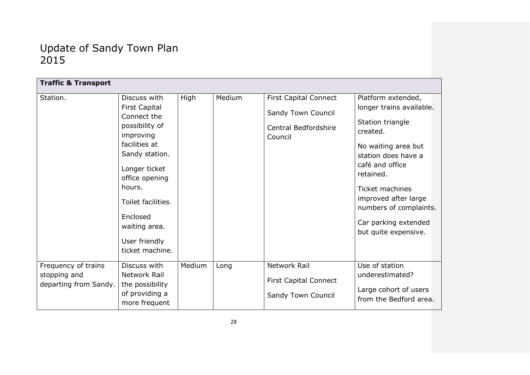| <b>Traffic &amp; Transport</b> |                            |        |        |                              |                                        |
|--------------------------------|----------------------------|--------|--------|------------------------------|----------------------------------------|
| Station.                       | Discuss with               | High   | Medium | <b>First Capital Connect</b> | Platform extended,                     |
|                                | <b>First Capital</b>       |        |        | Sandy Town Council           | longer trains available.               |
|                                | Connect the                |        |        |                              | Station triangle                       |
|                                | possibility of             |        |        | Central Bedfordshire         | created.                               |
|                                | improving<br>facilities at |        |        | Council                      |                                        |
|                                | Sandy station.             |        |        |                              | No waiting area but                    |
|                                |                            |        |        |                              | station does have a<br>café and office |
|                                | Longer ticket              |        |        |                              | retained.                              |
|                                | office opening             |        |        |                              |                                        |
|                                | hours.                     |        |        |                              | <b>Ticket machines</b>                 |
|                                | Toilet facilities.         |        |        |                              | improved after large                   |
|                                | Enclosed                   |        |        |                              | numbers of complaints.                 |
|                                | waiting area.              |        |        |                              | Car parking extended                   |
|                                |                            |        |        |                              | but quite expensive.                   |
|                                | User friendly              |        |        |                              |                                        |
|                                | ticket machine.            |        |        |                              |                                        |
| Frequency of trains            | Discuss with               | Medium | Long   | Network Rail                 | Use of station                         |
| stopping and                   | Network Rail               |        |        |                              | underestimated?                        |
| departing from Sandy.          | the possibility            |        |        | <b>First Capital Connect</b> | Large cohort of users                  |
|                                | of providing a             |        |        | Sandy Town Council           | from the Bedford area.                 |
|                                | more frequent              |        |        |                              |                                        |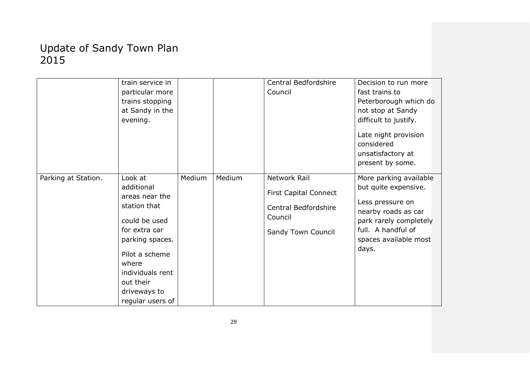| Parking at Station. | train service in<br>particular more<br>trains stopping<br>at Sandy in the<br>evening.<br>Look at                                                                                                  | Medium | Medium | Central Bedfordshire<br>Council<br>Network Rail                                       | Decision to run more<br>fast trains to<br>Peterborough which do<br>not stop at Sandy<br>difficult to justify.<br>Late night provision<br>considered<br>unsatisfactory at<br>present by some.<br>More parking available |
|---------------------|---------------------------------------------------------------------------------------------------------------------------------------------------------------------------------------------------|--------|--------|---------------------------------------------------------------------------------------|------------------------------------------------------------------------------------------------------------------------------------------------------------------------------------------------------------------------|
|                     | additional<br>areas near the<br>station that<br>could be used<br>for extra car<br>parking spaces.<br>Pilot a scheme<br>where<br>individuals rent<br>out their<br>driveways to<br>regular users of |        |        | <b>First Capital Connect</b><br>Central Bedfordshire<br>Council<br>Sandy Town Council | but quite expensive.<br>Less pressure on<br>nearby roads as car<br>park rarely completely<br>full. A handful of<br>spaces available most<br>days.                                                                      |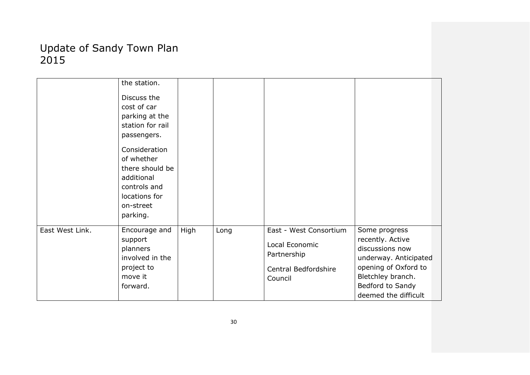|                 | the station.<br>Discuss the<br>cost of car<br>parking at the                                                           |      |      |                                                                                            |                                                                                                                                                                        |
|-----------------|------------------------------------------------------------------------------------------------------------------------|------|------|--------------------------------------------------------------------------------------------|------------------------------------------------------------------------------------------------------------------------------------------------------------------------|
|                 | station for rail<br>passengers.                                                                                        |      |      |                                                                                            |                                                                                                                                                                        |
|                 | Consideration<br>of whether<br>there should be<br>additional<br>controls and<br>locations for<br>on-street<br>parking. |      |      |                                                                                            |                                                                                                                                                                        |
| East West Link. | Encourage and<br>support<br>planners<br>involved in the<br>project to<br>move it<br>forward.                           | High | Long | East - West Consortium<br>Local Economic<br>Partnership<br>Central Bedfordshire<br>Council | Some progress<br>recently. Active<br>discussions now<br>underway. Anticipated<br>opening of Oxford to<br>Bletchley branch.<br>Bedford to Sandy<br>deemed the difficult |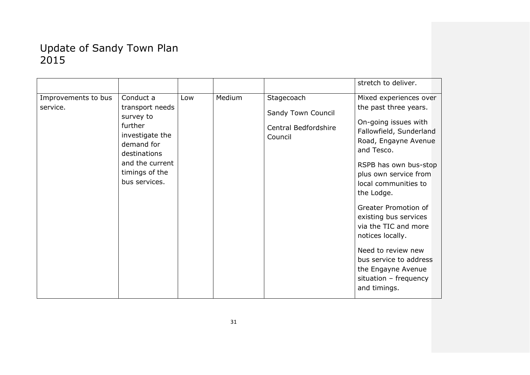|                                 |                                                                                                                                                             |     |        |                                                                     | stretch to deliver.                                                                                                                                                                                                                                                                                                                                                                                                                          |
|---------------------------------|-------------------------------------------------------------------------------------------------------------------------------------------------------------|-----|--------|---------------------------------------------------------------------|----------------------------------------------------------------------------------------------------------------------------------------------------------------------------------------------------------------------------------------------------------------------------------------------------------------------------------------------------------------------------------------------------------------------------------------------|
| Improvements to bus<br>service. | Conduct a<br>transport needs<br>survey to<br>further<br>investigate the<br>demand for<br>destinations<br>and the current<br>timings of the<br>bus services. | Low | Medium | Stagecoach<br>Sandy Town Council<br>Central Bedfordshire<br>Council | Mixed experiences over<br>the past three years.<br>On-going issues with<br>Fallowfield, Sunderland<br>Road, Engayne Avenue<br>and Tesco.<br>RSPB has own bus-stop<br>plus own service from<br>local communities to<br>the Lodge.<br>Greater Promotion of<br>existing bus services<br>via the TIC and more<br>notices locally.<br>Need to review new<br>bus service to address<br>the Engayne Avenue<br>situation - frequency<br>and timings. |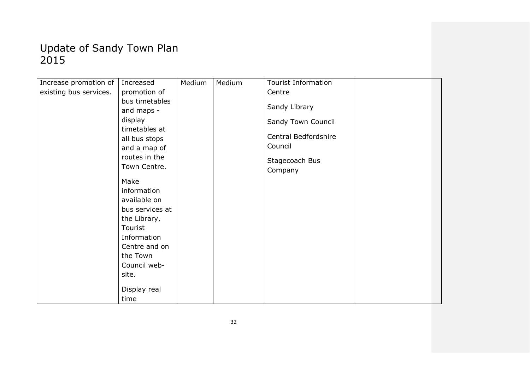| Increase promotion of  | Increased       | Medium | Medium | <b>Tourist Information</b> |  |
|------------------------|-----------------|--------|--------|----------------------------|--|
| existing bus services. | promotion of    |        |        | Centre                     |  |
|                        | bus timetables  |        |        |                            |  |
|                        | and maps -      |        |        | Sandy Library              |  |
|                        | display         |        |        | Sandy Town Council         |  |
|                        | timetables at   |        |        |                            |  |
|                        | all bus stops   |        |        | Central Bedfordshire       |  |
|                        | and a map of    |        |        | Council                    |  |
|                        | routes in the   |        |        | Stagecoach Bus             |  |
|                        | Town Centre.    |        |        | Company                    |  |
|                        | Make            |        |        |                            |  |
|                        | information     |        |        |                            |  |
|                        | available on    |        |        |                            |  |
|                        | bus services at |        |        |                            |  |
|                        | the Library,    |        |        |                            |  |
|                        | Tourist         |        |        |                            |  |
|                        | Information     |        |        |                            |  |
|                        | Centre and on   |        |        |                            |  |
|                        | the Town        |        |        |                            |  |
|                        | Council web-    |        |        |                            |  |
|                        | site.           |        |        |                            |  |
|                        |                 |        |        |                            |  |
|                        | Display real    |        |        |                            |  |
|                        | time            |        |        |                            |  |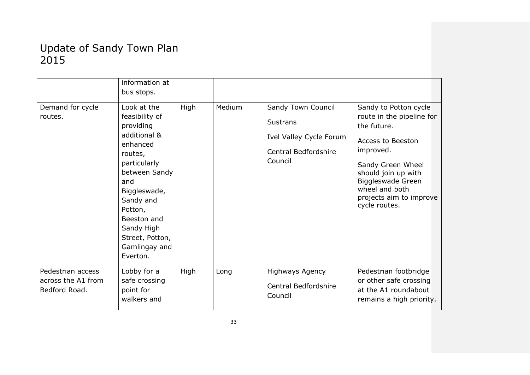| Demand for cycle<br>routes.                              | information at<br>bus stops.<br>Look at the<br>feasibility of<br>providing<br>additional &<br>enhanced<br>routes,<br>particularly<br>between Sandy<br>and<br>Biggleswade,<br>Sandy and<br>Potton,<br>Beeston and<br>Sandy High<br>Street, Potton,<br>Gamlingay and<br>Everton. | High | Medium | Sandy Town Council<br><b>Sustrans</b><br>Ivel Valley Cycle Forum<br><b>Central Bedfordshire</b><br>Council | Sandy to Potton cycle<br>route in the pipeline for<br>the future.<br>Access to Beeston<br>improved.<br>Sandy Green Wheel<br>should join up with<br>Biggleswade Green<br>wheel and both<br>projects aim to improve<br>cycle routes. |
|----------------------------------------------------------|--------------------------------------------------------------------------------------------------------------------------------------------------------------------------------------------------------------------------------------------------------------------------------|------|--------|------------------------------------------------------------------------------------------------------------|------------------------------------------------------------------------------------------------------------------------------------------------------------------------------------------------------------------------------------|
| Pedestrian access<br>across the A1 from<br>Bedford Road. | Lobby for a<br>safe crossing<br>point for<br>walkers and                                                                                                                                                                                                                       | High | Long   | <b>Highways Agency</b><br>Central Bedfordshire<br>Council                                                  | Pedestrian footbridge<br>or other safe crossing<br>at the A1 roundabout<br>remains a high priority.                                                                                                                                |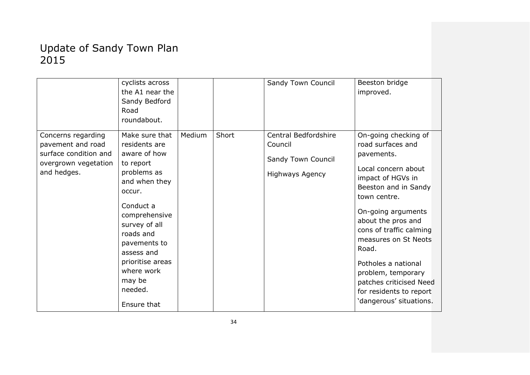|                                                                                                         | cyclists across<br>the A1 near the<br>Sandy Bedford<br>Road<br>roundabout.                                                                                                                                                                                             |        |       | Sandy Town Council                                                              | Beeston bridge<br>improved.                                                                                                                                                                                                                                                                                                                                                       |
|---------------------------------------------------------------------------------------------------------|------------------------------------------------------------------------------------------------------------------------------------------------------------------------------------------------------------------------------------------------------------------------|--------|-------|---------------------------------------------------------------------------------|-----------------------------------------------------------------------------------------------------------------------------------------------------------------------------------------------------------------------------------------------------------------------------------------------------------------------------------------------------------------------------------|
| Concerns regarding<br>pavement and road<br>surface condition and<br>overgrown vegetation<br>and hedges. | Make sure that<br>residents are<br>aware of how<br>to report<br>problems as<br>and when they<br>occur.<br>Conduct a<br>comprehensive<br>survey of all<br>roads and<br>pavements to<br>assess and<br>prioritise areas<br>where work<br>may be<br>needed.<br>Ensure that | Medium | Short | Central Bedfordshire<br>Council<br>Sandy Town Council<br><b>Highways Agency</b> | On-going checking of<br>road surfaces and<br>pavements.<br>Local concern about<br>impact of HGVs in<br>Beeston and in Sandy<br>town centre.<br>On-going arguments<br>about the pros and<br>cons of traffic calming<br>measures on St Neots<br>Road.<br>Potholes a national<br>problem, temporary<br>patches criticised Need<br>for residents to report<br>'dangerous' situations. |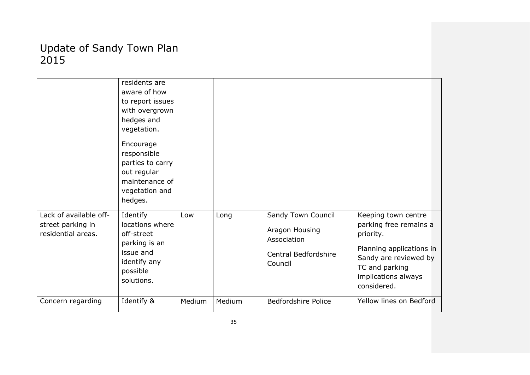|                                                                   | residents are<br>aware of how<br>to report issues<br>with overgrown<br>hedges and<br>vegetation.<br>Encourage<br>responsible<br>parties to carry<br>out regular<br>maintenance of<br>vegetation and<br>hedges. |        |        |                                                                                        |                                                                                                                                                                         |
|-------------------------------------------------------------------|----------------------------------------------------------------------------------------------------------------------------------------------------------------------------------------------------------------|--------|--------|----------------------------------------------------------------------------------------|-------------------------------------------------------------------------------------------------------------------------------------------------------------------------|
| Lack of available off-<br>street parking in<br>residential areas. | Identify<br>locations where<br>off-street<br>parking is an<br>issue and<br>identify any<br>possible<br>solutions.                                                                                              | Low    | Long   | Sandy Town Council<br>Aragon Housing<br>Association<br>Central Bedfordshire<br>Council | Keeping town centre<br>parking free remains a<br>priority.<br>Planning applications in<br>Sandy are reviewed by<br>TC and parking<br>implications always<br>considered. |
| Concern regarding                                                 | Identify &                                                                                                                                                                                                     | Medium | Medium | <b>Bedfordshire Police</b>                                                             | Yellow lines on Bedford                                                                                                                                                 |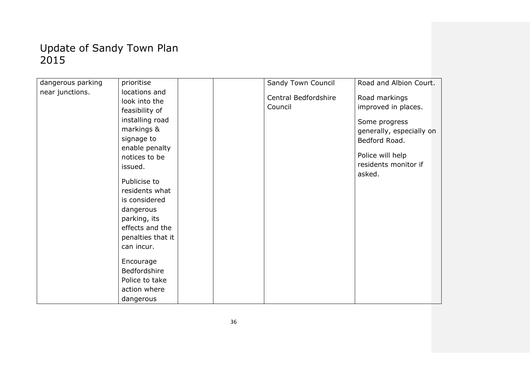| dangerous parking | prioritise                                                                                                                                                                                                                                                                          |  | Sandy Town Council              | Road and Albion Court.                                                                                                                                   |
|-------------------|-------------------------------------------------------------------------------------------------------------------------------------------------------------------------------------------------------------------------------------------------------------------------------------|--|---------------------------------|----------------------------------------------------------------------------------------------------------------------------------------------------------|
| near junctions.   | locations and<br>look into the<br>feasibility of<br>installing road<br>markings &<br>signage to<br>enable penalty<br>notices to be<br>issued.<br>Publicise to<br>residents what<br>is considered<br>dangerous<br>parking, its<br>effects and the<br>penalties that it<br>can incur. |  | Central Bedfordshire<br>Council | Road markings<br>improved in places.<br>Some progress<br>generally, especially on<br>Bedford Road.<br>Police will help<br>residents monitor if<br>asked. |
|                   | Encourage<br>Bedfordshire<br>Police to take<br>action where<br>dangerous                                                                                                                                                                                                            |  |                                 |                                                                                                                                                          |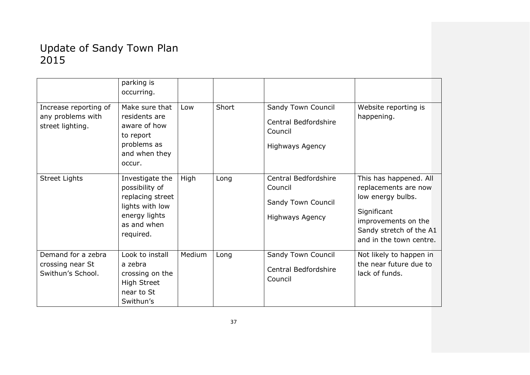|                                                                | parking is<br>occurring.                                                                                              |        |       |                                                                                        |                                                                                                                                                                 |
|----------------------------------------------------------------|-----------------------------------------------------------------------------------------------------------------------|--------|-------|----------------------------------------------------------------------------------------|-----------------------------------------------------------------------------------------------------------------------------------------------------------------|
| Increase reporting of<br>any problems with<br>street lighting. | Make sure that<br>residents are<br>aware of how<br>to report<br>problems as<br>and when they<br>occur.                | Low    | Short | Sandy Town Council<br><b>Central Bedfordshire</b><br>Council<br><b>Highways Agency</b> | Website reporting is<br>happening.                                                                                                                              |
| <b>Street Lights</b>                                           | Investigate the<br>possibility of<br>replacing street<br>lights with low<br>energy lights<br>as and when<br>required. | High   | Long  | Central Bedfordshire<br>Council<br>Sandy Town Council<br><b>Highways Agency</b>        | This has happened. All<br>replacements are now<br>low energy bulbs.<br>Significant<br>improvements on the<br>Sandy stretch of the A1<br>and in the town centre. |
| Demand for a zebra<br>crossing near St<br>Swithun's School.    | Look to install<br>a zebra<br>crossing on the<br><b>High Street</b><br>near to St<br>Swithun's                        | Medium | Long  | Sandy Town Council<br>Central Bedfordshire<br>Council                                  | Not likely to happen in<br>the near future due to<br>lack of funds.                                                                                             |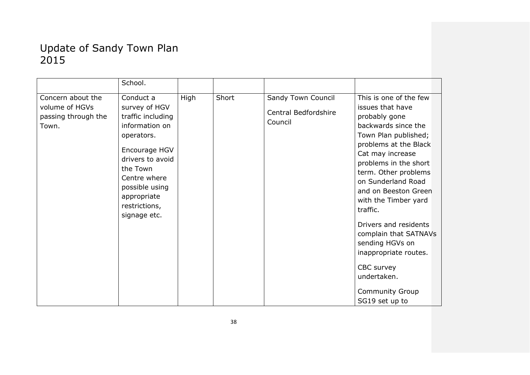|                                                                     | School.                                                                                                                                                                                                            |      |       |                                                       |                                                                                                                                                                                                                                                                                                                                                                                                                                                                   |
|---------------------------------------------------------------------|--------------------------------------------------------------------------------------------------------------------------------------------------------------------------------------------------------------------|------|-------|-------------------------------------------------------|-------------------------------------------------------------------------------------------------------------------------------------------------------------------------------------------------------------------------------------------------------------------------------------------------------------------------------------------------------------------------------------------------------------------------------------------------------------------|
|                                                                     |                                                                                                                                                                                                                    |      |       |                                                       |                                                                                                                                                                                                                                                                                                                                                                                                                                                                   |
| Concern about the<br>volume of HGVs<br>passing through the<br>Town. | Conduct a<br>survey of HGV<br>traffic including<br>information on<br>operators.<br>Encourage HGV<br>drivers to avoid<br>the Town<br>Centre where<br>possible using<br>appropriate<br>restrictions,<br>signage etc. | High | Short | Sandy Town Council<br>Central Bedfordshire<br>Council | This is one of the few<br>issues that have<br>probably gone<br>backwards since the<br>Town Plan published;<br>problems at the Black<br>Cat may increase<br>problems in the short<br>term. Other problems<br>on Sunderland Road<br>and on Beeston Green<br>with the Timber yard<br>traffic.<br>Drivers and residents<br>complain that SATNAVs<br>sending HGVs on<br>inappropriate routes.<br>CBC survey<br>undertaken.<br><b>Community Group</b><br>SG19 set up to |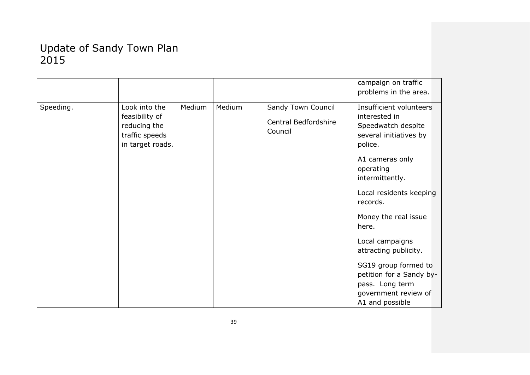|           |                                                                                       |        |        |                                                       | campaign on traffic<br>problems in the area.                                                                                                                                                                                                                                                                                                                                                 |
|-----------|---------------------------------------------------------------------------------------|--------|--------|-------------------------------------------------------|----------------------------------------------------------------------------------------------------------------------------------------------------------------------------------------------------------------------------------------------------------------------------------------------------------------------------------------------------------------------------------------------|
| Speeding. | Look into the<br>feasibility of<br>reducing the<br>traffic speeds<br>in target roads. | Medium | Medium | Sandy Town Council<br>Central Bedfordshire<br>Council | Insufficient volunteers<br>interested in<br>Speedwatch despite<br>several initiatives by<br>police.<br>A1 cameras only<br>operating<br>intermittently.<br>Local residents keeping<br>records.<br>Money the real issue<br>here.<br>Local campaigns<br>attracting publicity.<br>SG19 group formed to<br>petition for a Sandy by-<br>pass. Long term<br>government review of<br>A1 and possible |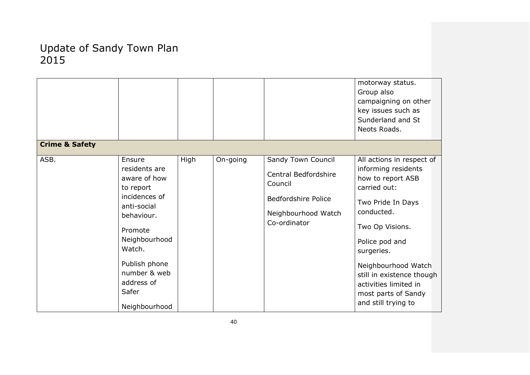|                           |                                                                                                                                                                                                                   |      |          |                                                                                                                            | motorway status.<br>Group also<br>campaigning on other<br>key issues such as<br>Sunderland and St<br>Neots Roads.                                                                                                                                                                                      |
|---------------------------|-------------------------------------------------------------------------------------------------------------------------------------------------------------------------------------------------------------------|------|----------|----------------------------------------------------------------------------------------------------------------------------|--------------------------------------------------------------------------------------------------------------------------------------------------------------------------------------------------------------------------------------------------------------------------------------------------------|
| <b>Crime &amp; Safety</b> |                                                                                                                                                                                                                   |      |          |                                                                                                                            |                                                                                                                                                                                                                                                                                                        |
| ASB.                      | Ensure<br>residents are<br>aware of how<br>to report<br>incidences of<br>anti-social<br>behaviour.<br>Promote<br>Neighbourhood<br>Watch.<br>Publish phone<br>number & web<br>address of<br>Safer<br>Neighbourhood | High | On-going | Sandy Town Council<br>Central Bedfordshire<br>Council<br><b>Bedfordshire Police</b><br>Neighbourhood Watch<br>Co-ordinator | All actions in respect of<br>informing residents<br>how to report ASB<br>carried out:<br>Two Pride In Days<br>conducted.<br>Two Op Visions.<br>Police pod and<br>surgeries.<br>Neighbourhood Watch<br>still in existence though<br>activities limited in<br>most parts of Sandy<br>and still trying to |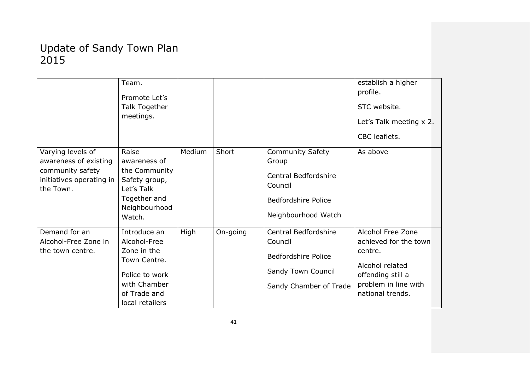|                                                                                                         | Team.<br>Promote Let's<br>Talk Together<br>meetings.                                                                             |        |          |                                                                                                                                 | establish a higher<br>profile.<br>STC website.<br>Let's Talk meeting x 2.<br>CBC leaflets.                                                |
|---------------------------------------------------------------------------------------------------------|----------------------------------------------------------------------------------------------------------------------------------|--------|----------|---------------------------------------------------------------------------------------------------------------------------------|-------------------------------------------------------------------------------------------------------------------------------------------|
| Varying levels of<br>awareness of existing<br>community safety<br>initiatives operating in<br>the Town. | Raise<br>awareness of<br>the Community<br>Safety group,<br>Let's Talk<br>Together and<br>Neighbourhood<br>Watch.                 | Medium | Short    | <b>Community Safety</b><br>Group<br><b>Central Bedfordshire</b><br>Council<br><b>Bedfordshire Police</b><br>Neighbourhood Watch | As above                                                                                                                                  |
| Demand for an<br>Alcohol-Free Zone in<br>the town centre.                                               | Introduce an<br>Alcohol-Free<br>Zone in the<br>Town Centre.<br>Police to work<br>with Chamber<br>of Trade and<br>local retailers | High   | On-going | Central Bedfordshire<br>Council<br><b>Bedfordshire Police</b><br>Sandy Town Council<br>Sandy Chamber of Trade                   | Alcohol Free Zone<br>achieved for the town<br>centre.<br>Alcohol related<br>offending still a<br>problem in line with<br>national trends. |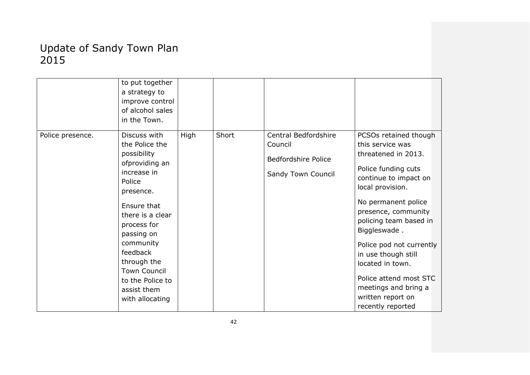|                  | to put together<br>a strategy to<br>improve control<br>of alcohol sales<br>in the Town.                                                                                                                                                                                                    |      |       |                                                                              |                                                                                                                                                                                                                                                                                                                                                                                                 |
|------------------|--------------------------------------------------------------------------------------------------------------------------------------------------------------------------------------------------------------------------------------------------------------------------------------------|------|-------|------------------------------------------------------------------------------|-------------------------------------------------------------------------------------------------------------------------------------------------------------------------------------------------------------------------------------------------------------------------------------------------------------------------------------------------------------------------------------------------|
| Police presence. | Discuss with<br>the Police the<br>possibility<br>ofproviding an<br>increase in<br>Police<br>presence.<br>Ensure that<br>there is a clear<br>process for<br>passing on<br>community<br>feedback<br>through the<br><b>Town Council</b><br>to the Police to<br>assist them<br>with allocating | High | Short | Central Bedfordshire<br>Council<br>Bedfordshire Police<br>Sandy Town Council | PCSOs retained though<br>this service was<br>threatened in 2013.<br>Police funding cuts<br>continue to impact on<br>local provision.<br>No permanent police<br>presence, community<br>policing team based in<br>Biggleswade.<br>Police pod not currently<br>in use though still<br>located in town.<br>Police attend most STC<br>meetings and bring a<br>written report on<br>recently reported |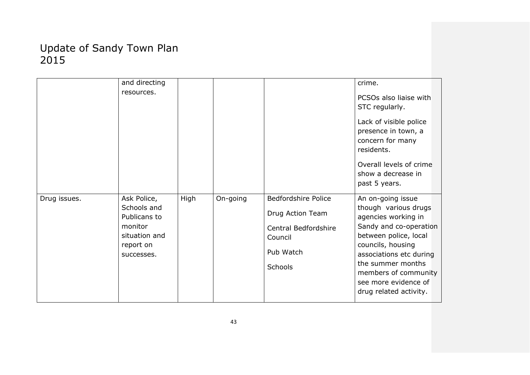|              | and directing               |      |          |                            | crime.                                       |
|--------------|-----------------------------|------|----------|----------------------------|----------------------------------------------|
|              | resources.                  |      |          |                            | PCSOs also liaise with                       |
|              |                             |      |          |                            | STC regularly.                               |
|              |                             |      |          |                            | Lack of visible police                       |
|              |                             |      |          |                            | presence in town, a<br>concern for many      |
|              |                             |      |          |                            | residents.                                   |
|              |                             |      |          |                            | Overall levels of crime                      |
|              |                             |      |          |                            | show a decrease in                           |
|              |                             |      |          |                            | past 5 years.                                |
| Drug issues. | Ask Police,                 | High | On-going | <b>Bedfordshire Police</b> | An on-going issue                            |
|              | Schools and<br>Publicans to |      |          | Drug Action Team           | though various drugs<br>agencies working in  |
|              | monitor                     |      |          | Central Bedfordshire       | Sandy and co-operation                       |
|              | situation and               |      |          | Council                    | between police, local                        |
|              | report on<br>successes.     |      |          | Pub Watch                  | councils, housing<br>associations etc during |
|              |                             |      |          | <b>Schools</b>             | the summer months<br>members of community    |
|              |                             |      |          |                            | see more evidence of                         |
|              |                             |      |          |                            | drug related activity.                       |
|              |                             |      |          |                            |                                              |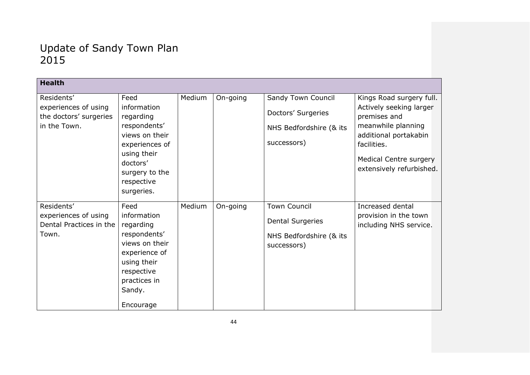| <b>Health</b>                                                                |                                                                                                                                                                       |        |          |                                                                                          |                                                                                                                                                                                                |
|------------------------------------------------------------------------------|-----------------------------------------------------------------------------------------------------------------------------------------------------------------------|--------|----------|------------------------------------------------------------------------------------------|------------------------------------------------------------------------------------------------------------------------------------------------------------------------------------------------|
| Residents'<br>experiences of using<br>the doctors' surgeries<br>in the Town. | Feed<br>information<br>regarding<br>respondents'<br>views on their<br>experiences of<br>using their<br>doctors'<br>surgery to the<br>respective                       | Medium | On-going | Sandy Town Council<br>Doctors' Surgeries<br>NHS Bedfordshire (& its<br>successors)       | Kings Road surgery full.<br>Actively seeking larger<br>premises and<br>meanwhile planning<br>additional portakabin<br>facilities.<br><b>Medical Centre surgery</b><br>extensively refurbished. |
| Residents'<br>experiences of using<br>Dental Practices in the<br>Town.       | surgeries.<br>Feed<br>information<br>regarding<br>respondents'<br>views on their<br>experience of<br>using their<br>respective<br>practices in<br>Sandy.<br>Encourage | Medium | On-going | <b>Town Council</b><br><b>Dental Surgeries</b><br>NHS Bedfordshire (& its<br>successors) | Increased dental<br>provision in the town<br>including NHS service.                                                                                                                            |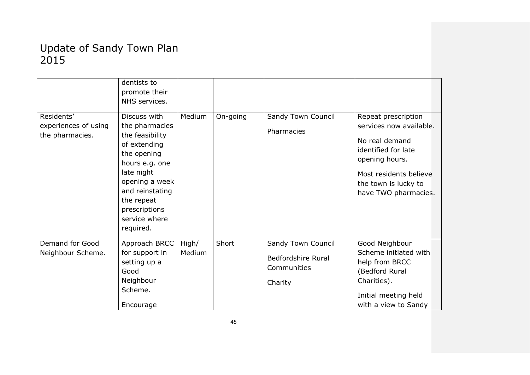|                                    | dentists to<br>promote their<br>NHS services. |        |          |                    |                                                |
|------------------------------------|-----------------------------------------------|--------|----------|--------------------|------------------------------------------------|
| Residents'<br>experiences of using | Discuss with<br>the pharmacies                | Medium | On-going | Sandy Town Council | Repeat prescription<br>services now available. |
| the pharmacies.                    | the feasibility                               |        |          | Pharmacies         |                                                |
|                                    | of extending                                  |        |          |                    | No real demand                                 |
|                                    | the opening                                   |        |          |                    | identified for late<br>opening hours.          |
|                                    | hours e.g. one                                |        |          |                    |                                                |
|                                    | late night<br>opening a week                  |        |          |                    | Most residents believe                         |
|                                    | and reinstating                               |        |          |                    | the town is lucky to<br>have TWO pharmacies.   |
|                                    | the repeat                                    |        |          |                    |                                                |
|                                    | prescriptions                                 |        |          |                    |                                                |
|                                    | service where                                 |        |          |                    |                                                |
|                                    | required.                                     |        |          |                    |                                                |
| Demand for Good                    | Approach BRCC                                 | High/  | Short    | Sandy Town Council | Good Neighbour                                 |
| Neighbour Scheme.                  | for support in                                | Medium |          | Bedfordshire Rural | Scheme initiated with                          |
|                                    | setting up a<br>Good                          |        |          | Communities        | help from BRCC<br>(Bedford Rural               |
|                                    | Neighbour                                     |        |          | Charity            | Charities).                                    |
|                                    | Scheme.                                       |        |          |                    |                                                |
|                                    | Encourage                                     |        |          |                    | Initial meeting held<br>with a view to Sandy   |
|                                    |                                               |        |          |                    |                                                |